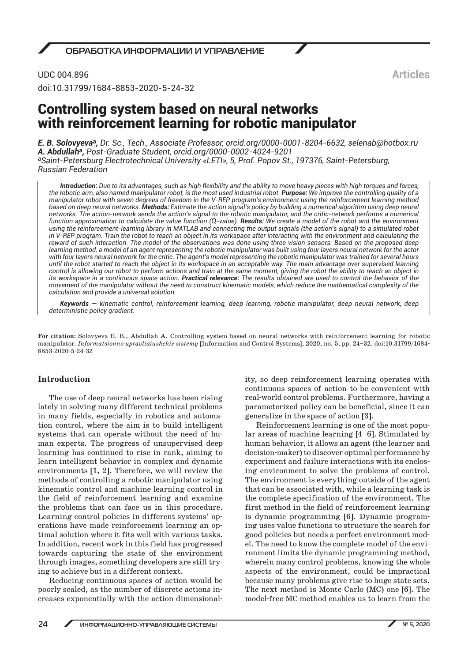UDC 004.896 doi:10.31799/1684-8853-2020-5-24-32

# Controlling system based on neural networks with reinforcement learning for robotic manipulator

*E. B. Solovyeva***a***, Dr. Sc., Tech., Associate Professor, orcid.org/0000-0001-8204-6632, selenab@hotbox.ru A. Abdullah***a***, Post-Graduate Student, orcid.org/0000-0002-4024-9201* <sup>a</sup>*Saint-Petersburg Electrotechnical University «LETI», 5, Prof. Popov St., 197376, Saint-Petersburg, Russian Federation*

*Introduction: Due to its advantages, such as high flexibility and the ability to move heavy pieces with high torques and forces, the robotic arm, also named manipulator robot, is the most used industrial robot. Purpose: We improve the controlling quality of a manipulator robot with seven degrees of freedom in the V-REP program's environment using the reinforcement learning method based on deep neural networks. Methods: Estimate the action signal's policy by building a numerical algorithm using deep neural networks. The action-network sends the action's signal to the robotic manipulator, and the critic-network performs a numerical function approximation to calculate the value function (Q-value). Results: We create a model of the robot and the environment using the reinforcement-learning library in MATLAB and connecting the output signals (the action's signal) to a simulated robot in V-REP program. Train the robot to reach an object in its workspace after interacting with the environment and calculating the reward of such interaction. The model of the observations was done using three vision sensors. Based on the proposed deep learning method, a model of an agent representing the robotic manipulator was built using four layers neural network for the actor with four layers neural network for the critic. The agent's model representing the robotic manipulator was trained for several hours until the robot started to reach the object in its workspace in an acceptable way. The main advantage over supervised learning control is allowing our robot to perform actions and train at the same moment, giving the robot the ability to reach an object in its workspace in a continuous space action. Practical relevance: The results obtained are used to control the behavior of the movement of the manipulator without the need to construct kinematic models, which reduce the mathematical complexity of the calculation and provide a universal solution.*

*Keywords — kinematic control, reinforcement learning, deep learning, robotic manipulator, deep neural network, deep deterministic policy gradient.*

**For citation:** Solovyeva E. B., Abdullah A. Controlling system based on neural networks with reinforcement learning for robotic manipulator. *Informatsionno-upravliaiushchie sistemy* [Information and Control Systems], 2020, no. 5, pp. 24–32. doi:10.31799/1684- 8853-2020-5-24-32

# **Introduction**

The use of deep neural networks has been rising lately in solving many different technical problems in many fields, especially in robotics and automation control, where the aim is to build intelligent systems that can operate without the need of human experts. The progress of unsupervised deep learning has continued to rise in rank, aiming to learn intelligent behavior in complex and dynamic environments [1, 2]. Therefore, we will review the methods of controlling a robotic manipulator using kinematic control and machine learning control in the field of reinforcement learning and examine the problems that can face us in this procedure. Learning control policies in different systems' operations have made reinforcement learning an optimal solution where it fits well with various tasks. In addition, recent work in this field has progressed towards capturing the state of the environment through images, something developers are still trying to achieve but in a different context.

Reducing continuous spaces of action would be poorly scaled, as the number of discrete actions increases exponentially with the action dimensionality, so deep reinforcement learning operates with continuous spaces of action to be convenient with real-world control problems. Furthermore, having a parameterized policy can be beneficial, since it can generalize in the space of action [3].

Reinforcement learning is one of the most popular areas of machine learning [4–6]. Stimulated by human behavior, it allows an agent (the learner and decision-maker) to discover optimal performance by experiment and failure interactions with its enclosing environment to solve the problems of control. The environment is everything outside of the agent that can be associated with, while a learning task is the complete specification of the environment. The first method in the field of reinforcement learning is dynamic programming [6]. Dynamic programing uses value functions to structure the search for good policies but needs a perfect environment model. The need to know the complete model of the environment limits the dynamic programming method, wherein many control problems, knowing the whole aspects of the environment, could be impractical because many problems give rise to huge state sets. The next method is Monte Carlo (MC) one [6]. The model-free MC method enables us to learn from the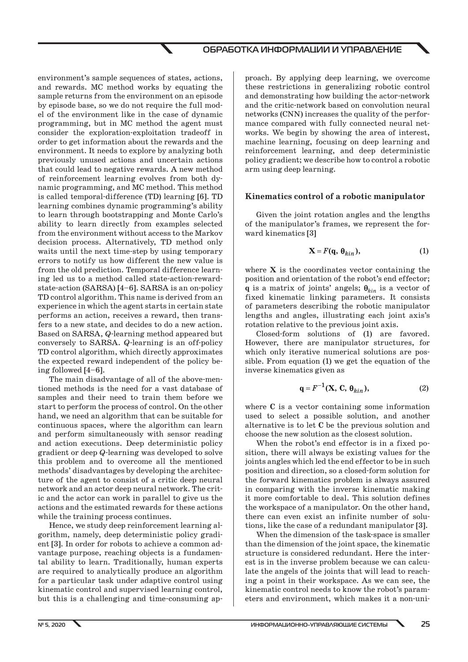environment's sample sequences of states, actions, and rewards. MC method works by equating the sample returns from the environment on an episode by episode base, so we do not require the full model of the environment like in the case of dynamic programming, but in MC method the agent must consider the exploration-exploitation tradeoff in order to get information about the rewards and the environment. It needs to explore by analyzing both previously unused actions and uncertain actions that could lead to negative rewards. A new method of reinforcement learning evolves from both dynamic programming, and MC method. This method is called temporal-difference (TD) learning [6]. TD learning combines dynamic programming's ability to learn through bootstrapping and Monte Carlo's ability to learn directly from examples selected from the environment without access to the Markov decision process. Alternatively, TD method only waits until the next time-step by using temporary errors to notify us how different the new value is from the old prediction. Temporal difference learning led us to a method called state-action-rewardstate-action (SARSA) [4–6]. SARSA is an on-policy TD control algorithm. This name is derived from an experience in which the agent starts in certain state performs an action, receives a reward, then transfers to a new state, and decides to do a new action. Based on SARSA, *Q*-learning method appeared but conversely to SARSA. *Q*-learning is an off-policy TD control algorithm, which directly approximates the expected reward independent of the policy being followed [4–6].

The main disadvantage of all of the above-mentioned methods is the need for a vast database of samples and their need to train them before we start to perform the process of control. On the other hand, we need an algorithm that can be suitable for continuous spaces, where the algorithm can learn and perform simultaneously with sensor reading and action executions. Deep deterministic policy gradient or deep *Q*-learning was developed to solve this problem and to overcome all the mentioned methods' disadvantages by developing the architecture of the agent to consist of a critic deep neural network and an actor deep neural network. The critic and the actor can work in parallel to give us the actions and the estimated rewards for these actions while the training process continues.

Hence, we study deep reinforcement learning algorithm, namely, deep deterministic policy gradient [3]. In order for robots to achieve a common advantage purpose, reaching objects is a fundamental ability to learn. Traditionally, human experts are required to analytically produce an algorithm for a particular task under adaptive control using kinematic control and supervised learning control, but this is a challenging and time-consuming approach. By applying deep learning, we overcome these restrictions in generalizing robotic control and demonstrating how building the actor-network and the critic-network based on convolution neural networks (CNN) increases the quality of the performance compared with fully connected neural networks. We begin by showing the area of interest, machine learning, focusing on deep learning and reinforcement learning, and deep deterministic policy gradient; we describe how to control a robotic arm using deep learning.

#### **Kinematics control of a robotic manipulator**

Given the joint rotation angles and the lengths of the manipulator's frames, we represent the forward kinematics [3]

$$
\mathbf{X} = F(\mathbf{q}, \, \boldsymbol{\theta}_{kin}),\tag{1}
$$

where **X** is the coordinates vector containing the position and orientation of the robot's end effector; **q** is a matrix of joints' angels;  $\theta_{kin}$  is a vector of fixed kinematic linking parameters. It consists of parameters describing the robotic manipulator lengths and angles, illustrating each joint axis's rotation relative to the previous joint axis.

Closed-form solutions of (1) are favored. However, there are manipulator structures, for which only iterative numerical solutions are possible. From equation (1) we get the equation of the inverse kinematics given as

$$
\mathbf{q} = F^{-1}(\mathbf{X}, \, \mathbf{C}, \, \boldsymbol{\theta}_{kin}),\tag{2}
$$

where **C** is a vector containing some information used to select a possible solution, and another alternative is to let **C** be the previous solution and choose the new solution as the closest solution.

When the robot's end effector is in a fixed position, there will always be existing values for the joints angles which led the end effector to be in such position and direction, so a closed-form solution for the forward kinematics problem is always assured in comparing with the inverse kinematic making it more comfortable to deal. This solution defines the workspace of a manipulator. On the other hand, there can even exist an infinite number of solutions, like the case of a redundant manipulator [3].

When the dimension of the task-space is smaller than the dimension of the joint space, the kinematic structure is considered redundant. Here the interest is in the inverse problem because we can calculate the angels of the joints that will lead to reaching a point in their workspace. As we can see, the kinematic control needs to know the robot's parameters and environment, which makes it a non-uni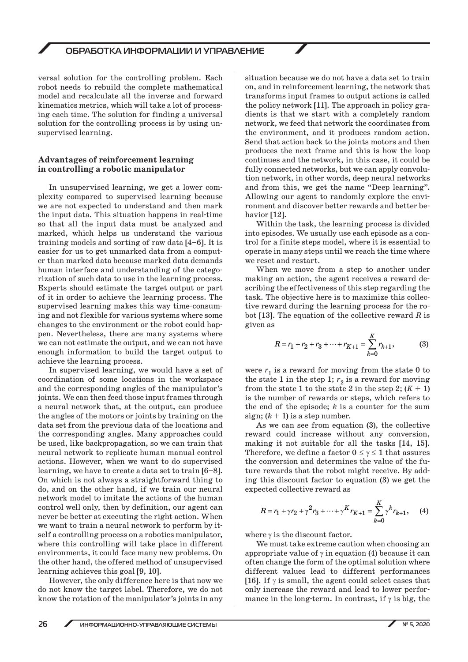versal solution for the controlling problem. Each robot needs to rebuild the complete mathematical model and recalculate all the inverse and forward kinematics metrics, which will take a lot of processing each time. The solution for finding a universal solution for the controlling process is by using unsupervised learning.

### **Advantages of reinforcement learning in controlling a robotic manipulator**

In unsupervised learning, we get a lower complexity compared to supervised learning because we are not expected to understand and then mark the input data. This situation happens in real-time so that all the input data must be analyzed and marked, which helps us understand the various training models and sorting of raw data [4–6]. It is easier for us to get unmarked data from a computer than marked data because marked data demands human interface and understanding of the categorization of such data to use in the learning process. Experts should estimate the target output or part of it in order to achieve the learning process. The supervised learning makes this way time-consuming and not flexible for various systems where some changes to the environment or the robot could happen. Nevertheless, there are many systems where we can not estimate the output, and we can not have enough information to build the target output to achieve the learning process.

In supervised learning, we would have a set of coordination of some locations in the workspace and the corresponding angles of the manipulator's joints. We can then feed those input frames through a neural network that, at the output, can produce the angles of the motors or joints by training on the data set from the previous data of the locations and the corresponding angles. Many approaches could be used, like backpropagation, so we can train that neural network to replicate human manual control actions. However, when we want to do supervised learning, we have to create a data set to train [6–8]. On which is not always a straightforward thing to do, and on the other hand, if we train our neural network model to imitate the actions of the human control well only, then by definition, our agent can never be better at executing the right action. When we want to train a neural network to perform by itself a controlling process on a robotics manipulator, where this controlling will take place in different environments, it could face many new problems. On the other hand, the offered method of unsupervised learning achieves this goal [9, 10].

However, the only difference here is that now we do not know the target label. Therefore, we do not know the rotation of the manipulator's joints in any

situation because we do not have a data set to train on, and in reinforcement learning, the network that transforms input frames to output actions is called the policy network [11]. The approach in policy gradients is that we start with a completely random network, we feed that network the coordinates from the environment, and it produces random action. Send that action back to the joints motors and then produces the next frame and this is how the loop continues and the network, in this case, it could be fully connected networks, but we can apply convolution network, in other words, deep neural networks and from this, we get the name "Deep learning". Allowing our agent to randomly explore the environment and discover better rewards and better behavior [12].

Within the task, the learning process is divided into episodes. We usually use each episode as a control for a finite steps model, where it is essential to operate in many steps until we reach the time where we reset and restart.

When we move from a step to another under making an action, the agent receives a reward describing the effectiveness of this step regarding the task. The objective here is to maximize this collective reward during the learning process for the robot [13]. The equation of the collective reward *R* is given as

$$
R = r_1 + r_2 + r_3 + \dots + r_{K+1} = \sum_{k=0}^{K} r_{k+1},
$$
 (3)

were  $r_1$  is a reward for moving from the state 0 to the state 1 in the step 1;  $r_2$  is a reward for moving from the state 1 to the state 2 in the step 2;  $(K + 1)$ is the number of rewards or steps, which refers to the end of the episode; *k* is a counter for the sum sign;  $(k + 1)$  is a step number.

As we can see from equation (3), the collective reward could increase without any conversion, making it not suitable for all the tasks [14, 15]. Therefore, we define a factor  $0 \leq \gamma \leq 1$  that assures the conversion and determines the value of the future rewards that the robot might receive. By adding this discount factor to equation (3) we get the expected collective reward as

$$
R = r_1 + \gamma r_2 + \gamma^2 r_3 + \dots + \gamma^K r_{K+1} = \sum_{k=0}^{K} \gamma^k r_{k+1}, \quad (4)
$$

where  $\gamma$  is the discount factor.

We must take extreme caution when choosing an appropriate value of  $\gamma$  in equation (4) because it can often change the form of the optimal solution where different values lead to different performances [16]. If  $\gamma$  is small, the agent could select cases that only increase the reward and lead to lower performance in the long-term. In contrast, if  $\gamma$  is big, the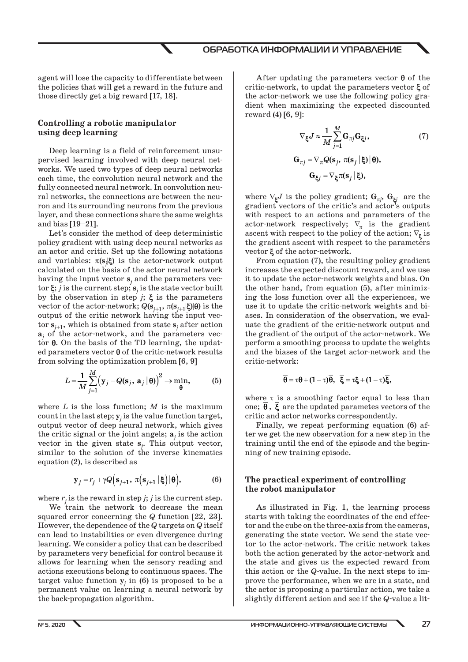agent will lose the capacity to differentiate between the policies that will get a reward in the future and those directly get a big reward [17, 18].

# **Controlling a robotic manipulator using deep learning**

Deep learning is a field of reinforcement unsupervised learning involved with deep neural networks. We used two types of deep neural networks each time, the convolution neural network and the fully connected neural network. In convolution neural networks, the connections are between the neuron and its surrounding neurons from the previous layer, and these connections share the same weights and bias  $[19-21]$ .

Let's consider the method of deep deterministic policy gradient with using deep neural networks as an actor and critic. Set up the following notations and variables:  $\pi(s_j|\xi)$  is the actor-network output calculated on the basis of the actor neural network having the input vector  $\mathbf{s}_j$  and the parameters vector  $\xi$ ; *j* is the current step;  $s_j$  is the state vector built by the observation in step  $j$ ;  $\xi$  is the parameters vector of the actor-network;  $Q(\mathbf{s}_{i+1}, \pi(\mathbf{s}_{i+1}|\boldsymbol{\xi})|\boldsymbol{\theta})$  is the output of the critic network having the input vec- $\tan s_{j+1}$ , which is obtained from state  $s_j$  after action  $a_j$  of the actor-network, and the parameters vector  $\theta$ . On the basis of the TD learning, the updated parameters vector  $\theta$  of the critic-network results from solving the optimization problem [6, 9]

$$
L = \frac{1}{M} \sum_{j=1}^{M} (\mathbf{y}_j - Q(\mathbf{s}_j, \, \mathbf{a}_j \, | \, \boldsymbol{\theta}))^2 \to \min_{\boldsymbol{\theta}} , \tag{5}
$$

where  $L$  is the loss function;  $M$  is the maximum count in the last step; **y***<sup>j</sup>* is the value function target, output vector of deep neural network, which gives the critic signal or the joint angels;  $\mathbf{a}_j$  is the action vector in the given state **s***<sup>j</sup>* . This output vector, similar to the solution of the inverse kinematics equation (2), is described as

$$
\mathbf{y}_{j} = r_{j} + \gamma Q\Big(\mathbf{s}_{j+1}, \pi\Big(\mathbf{s}_{j+1} \,|\, \boldsymbol{\xi}\Big) \,|\, \boldsymbol{\theta}\Big),\tag{6}
$$

where  $r_j$  is the reward in step *j*; *j* is the current step.

We train the network to decrease the mean squared error concerning the *Q* function [22, 23]. However, the dependence of the *Q* targets on *Q* itself can lead to instabilities or even divergence during learning. We consider a policy that can be described by parameters very beneficial for control because it allows for learning when the sensory reading and actions executions belong to continuous spaces. The target value function  $y_j$  in (6) is proposed to be a permanent value on learning a neural network by the back-propagation algorithm.

After updating the parameters vector  $\theta$  of the critic-network, to updat the parameters vector  $\xi$  of the actor-network we use the following policy gradient when maximizing the expected discounted reward (4) [6, 9]:

$$
\nabla_{\xi} J \approx \frac{1}{M} \sum_{j=1}^{M} \mathbf{G}_{\pi j} \mathbf{G}_{\xi j},
$$
\n(7)\n
$$
\mathbf{G}_{\pi j} = \nabla_{\pi} Q(\mathbf{s}_{j}, \pi(\mathbf{s}_{j} \,|\, \xi) \,|\, \theta),
$$
\n
$$
\mathbf{G}_{\xi j} = \nabla_{\xi} \pi(\mathbf{s}_{j} \,|\, \xi),
$$

where  $\nabla_{\xi}J$  is the policy gradient;  $G_{\pi j}$ ,  $G_{\xi j}$  are the gradient vectors of the critic's and actor's outputs with respect to an actions and parameters of the actor-network respectively;  $\nabla_{\pi}$  is the gradient ascent with respect to the policy of the action;  $\nabla_{\xi}$  is the gradient ascent with respect to the parameters vector  $\xi$  of the actor-network.

From equation (7), the resulting policy gradient increases the expected discount reward, and we use it to update the actor-network weights and bias. On the other hand, from equation (5), after minimizing the loss function over all the experiences, we use it to update the critic-network weights and biases. In consideration of the observation, we evaluate the gradient of the critic-network output and the gradient of the output of the actor-network. We perform a smoothing process to update the weights and the biases of the target actor-network and the critic-network:

$$
\overline{\theta}=\tau\theta+(1-\tau)\overline{\theta},\ \ \overline{\xi}=\tau\xi+(1-\tau)\overline{\xi},
$$

where  $\tau$  is a smoothing factor equal to less than one;  $\theta$ ,  $\xi$  are the updated parametes vectors of the critic and actor networks correspondently.

Finally, we repeat performing equation (6) after we get the new observation for a new step in the training until the end of the episode and the beginning of new training episode.

## **The practical experiment of controlling the robot manipulator**

As illustrated in Fig. 1, the learning process starts with taking the coordinates of the end effector and the cube on the three-axis from the cameras, generating the state vector. We send the state vector to the actor-network. The critic network takes both the action generated by the actor-network and the state and gives us the expected reward from this action or the *Q*-value. In the next steps to improve the performance, when we are in a state, and the actor is proposing a particular action, we take a slightly different action and see if the *Q*-value a lit-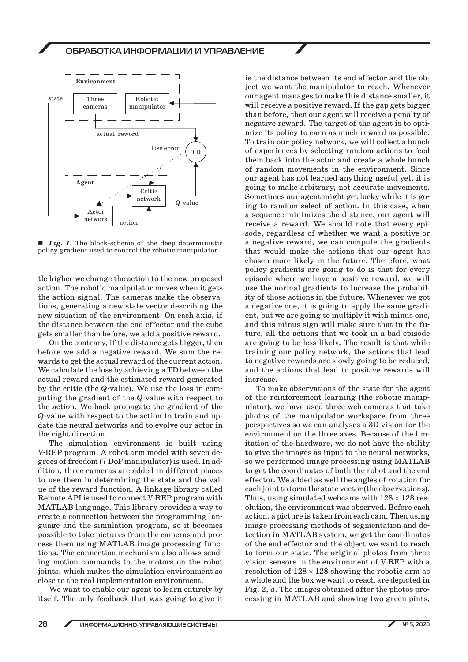



tle higher we change the action to the new proposed action. The robotic manipulator moves when it gets the action signal. The cameras make the observations, generating a new state vector describing the new situation of the environment. On each axis, if the distance between the end effector and the cube gets smaller than before, we add a positive reward.

On the contrary, if the distance gets bigger, then before we add a negative reward. We sum the rewards to get the actual reward of the current action. We calculate the loss by achieving a TD between the actual reward and the estimated reward generated by the critic (the *Q*-value). We use the loss in computing the gradient of the *Q*-value with respect to the action. We back propagate the gradient of the *Q*-value with respect to the action to train and update the neural networks and to evolve our actor in the right direction.

The simulation environment is built using V-REP program. A robot arm model with seven degrees of freedom (7 DoF manipulator) is used. In addition, three cameras are added in different places to use them in determining the state and the value of the reward function. A linkage library called Remote API is used to connect V-REP program with MATLAB language. This library provides a way to create a connection between the programming language and the simulation program, so it becomes possible to take pictures from the cameras and process them using MATLAB image processing functions. The connection mechanism also allows sending motion commands to the motors on the robot joints, which makes the simulation environment so close to the real implementation environment.

We want to enable our agent to learn entirely by itself. The only feedback that was going to give it is the distance between its end effector and the object we want the manipulator to reach. Whenever our agent manages to make this distance smaller, it will receive a positive reward. If the gap gets bigger than before, then our agent will receive a penalty of negative reward. The target of the agent is to optimize its policy to earn as much reward as possible. To train our policy network, we will collect a bunch of experiences by selecting random actions to feed them back into the actor and create a whole bunch of random movements in the environment. Since our agent has not learned anything useful yet, it is going to make arbitrary, not accurate movements. Sometimes our agent might get lucky while it is going to random select of action. In this case, when a sequence minimizes the distance, our agent will receive a reward. We should note that every episode, regardless of whether we want a positive or a negative reward, we can compute the gradients that would make the actions that our agent has chosen more likely in the future. Therefore, what policy gradients are going to do is that for every episode where we have a positive reward, we will use the normal gradients to increase the probability of those actions in the future. Whenever we got a negative one, it is going to apply the same gradient, but we are going to multiply it with minus one, and this minus sign will make sure that in the future, all the actions that we took in a bad episode are going to be less likely. The result is that while training our policy network, the actions that lead to negative rewards are slowly going to be reduced, and the actions that lead to positive rewards will increase.

To make observations of the state for the agent of the reinforcement learning (the robotic manipulator), we have used three web cameras that take photos of the manipulator workspace from three perspectives so we can analyses a 3D vision for the environment on the three axes. Because of the limitation of the hardware, we do not have the ability to give the images as input to the neural networks, so we performed image processing using MATLAB to get the coordinates of both the robot and the end effector. We added as well the angles of rotation for each joint to form the state vector (the observations). Thus, using simulated webcams with  $128 \times 128$  resolution, the environment was observed. Before each action, a picture is taken from each cam. Then using image processing methods of segmentation and detection in MATLAB system, we get the coordinates of the end effector and the object we want to reach to form our state. The original photos from three vision sensors in the environment of V-REP with a resolution of  $128 \times 128$  showing the robotic arm as a whole and the box we want to reach are depicted in Fig. 2, *a*. The images obtained after the photos processing in MATLAB and showing two green pints,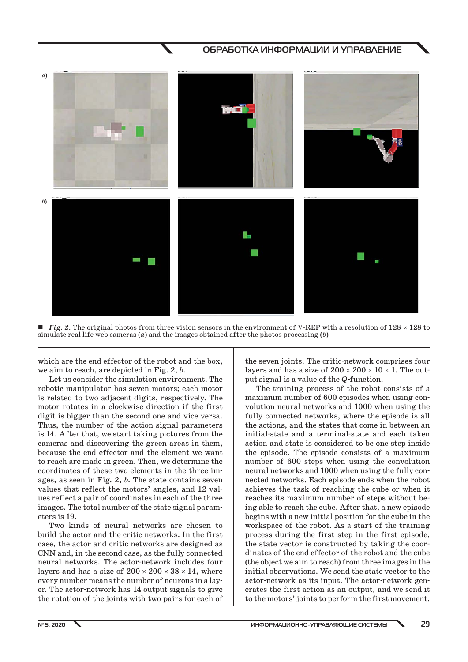

**Fig. 2.** The original photos from three vision sensors in the environment of V-REP with a resolution of  $128 \times 128$  to simulate real life web cameras (*a*) and the images obtained after the photos processing (*b*)

which are the end effector of the robot and the box, we aim to reach, are depicted in Fig. 2, *b*.

Let us consider the simulation environment. The robotic manipulator has seven motors; each motor is related to two adjacent digits, respectively. The motor rotates in a clockwise direction if the first digit is bigger than the second one and vice versa. Thus, the number of the action signal parameters is 14. After that, we start taking pictures from the cameras and discovering the green areas in them, because the end effector and the element we want to reach are made in green. Then, we determine the coordinates of these two elements in the three images, as seen in Fig. 2, *b*. The state contains seven values that reflect the motors' angles, and 12 values reflect a pair of coordinates in each of the three images. The total number of the state signal parameters is 19.

Two kinds of neural networks are chosen to build the actor and the critic networks. In the first case, the actor and critic networks are designed as CNN and, in the second case, as the fully connected neural networks. The actor-network includes four layers and has a size of  $200 \times 200 \times 38 \times 14$ , where every number means the number of neurons in a layer. The actor-network has 14 output signals to give the rotation of the joints with two pairs for each of the seven joints. The critic-network comprises four layers and has a size of  $200 \times 200 \times 10 \times 1$ . The output signal is a value of the *Q*-function.

The training process of the robot consists of a maximum number of 600 episodes when using convolution neural networks and 1000 when using the fully connected networks, where the episode is all the actions, and the states that come in between an initial-state and a terminal-state and each taken action and state is considered to be one step inside the episode. The episode consists of a maximum number of 600 steps when using the convolution neural networks and 1000 when using the fully connected networks. Each episode ends when the robot achieves the task of reaching the cube or when it reaches its maximum number of steps without being able to reach the cube. After that, a new episode begins with a new initial position for the cube in the workspace of the robot. As a start of the training process during the first step in the first episode, the state vector is constructed by taking the coordinates of the end effector of the robot and the cube (the object we aim to reach) from three images in the initial observations. We send the state vector to the actor-network as its input. The actor-network generates the first action as an output, and we send it to the motors' joints to perform the first movement.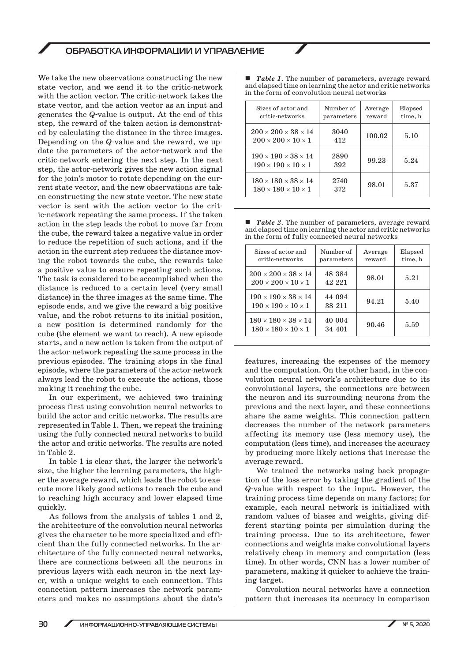We take the new observations constructing the new state vector, and we send it to the critic-network with the action vector. The critic-network takes the state vector, and the action vector as an input and generates the *Q*-value is output. At the end of this step, the reward of the taken action is demonstrated by calculating the distance in the three images. Depending on the *Q*-value and the reward, we update the parameters of the actor-network and the critic-network entering the next step. In the next step, the actor-network gives the new action signal for the join's motor to rotate depending on the current state vector, and the new observations are taken constructing the new state vector. The new state vector is sent with the action vector to the critic-network repeating the same process. If the taken action in the step leads the robot to move far from the cube, the reward takes a negative value in order to reduce the repetition of such actions, and if the action in the current step reduces the distance moving the robot towards the cube, the rewards take a positive value to ensure repeating such actions. The task is considered to be accomplished when the distance is reduced to a certain level (very small distance) in the three images at the same time. The episode ends, and we give the reward a big positive value, and the robot returns to its initial position, a new position is determined randomly for the cube (the element we want to reach). A new episode starts, and a new action is taken from the output of the actor-network repeating the same process in the previous episodes. The training stops in the final episode, where the parameters of the actor-network always lead the robot to execute the actions, those making it reaching the cube.

In our experiment, we achieved two training process first using convolution neural networks to build the actor and critic networks. The results are represented in Table 1. Then, we repeat the training using the fully connected neural networks to build the actor and critic networks. The results are noted in Table 2.

In table 1 is clear that, the larger the network's size, the higher the learning parameters, the higher the average reward, which leads the robot to execute more likely good actions to reach the cube and to reaching high accuracy and lower elapsed time quickly.

As follows from the analysis of tables 1 and 2, the architecture of the convolution neural networks gives the character to be more specialized and efficient than the fully connected networks. In the architecture of the fully connected neural networks, there are connections between all the neurons in previous layers with each neuron in the next layer, with a unique weight to each connection. This connection pattern increases the network parameters and makes no assumptions about the data's ■ *Table 1*. The number of parameters, average reward and elapsed time on learning the actor and critic networks in the form of convolution neural networks

| Sizes of actor and<br>critic-networks                                       | Number of<br>parameters | Average<br>reward | Elapsed<br>time, h |
|-----------------------------------------------------------------------------|-------------------------|-------------------|--------------------|
| $200 \times 200 \times 38 \times 14$<br>$200 \times 200 \times 10 \times 1$ | 3040<br>412             | 100.02            | 5.10               |
| $190 \times 190 \times 38 \times 14$<br>$190 \times 190 \times 10 \times 1$ | 2890<br>392             | 99.23             | 5.24               |
| $180 \times 180 \times 38 \times 14$<br>$180 \times 180 \times 10 \times 1$ | 2740<br>372             | 98.01             | 5.37               |

■ *Table 2*. The number of parameters, average reward and elapsed time on learning the actor and critic networks in the form of fully connected neural networks

| Sizes of actor and<br>critic-networks                                       | Number of<br>parameters | Average<br>reward | Elapsed<br>time, h |
|-----------------------------------------------------------------------------|-------------------------|-------------------|--------------------|
| $200 \times 200 \times 38 \times 14$<br>$200 \times 200 \times 10 \times 1$ | 48 384<br>42 221        | 98.01             | 5.21               |
| $190 \times 190 \times 38 \times 14$<br>$190 \times 190 \times 10 \times 1$ | 44 094<br>38 211        | 94.21             | 5.40               |
| $180 \times 180 \times 38 \times 14$<br>$180 \times 180 \times 10 \times 1$ | 40 004<br>34 401        | 90.46             | 5.59               |

features, increasing the expenses of the memory and the computation. On the other hand, in the convolution neural network's architecture due to its convolutional layers, the connections are between the neuron and its surrounding neurons from the previous and the next layer, and these connections share the same weights. This connection pattern decreases the number of the network parameters affecting its memory use (less memory use), the computation (less time), and increases the accuracy by producing more likely actions that increase the average reward.

We trained the networks using back propagation of the loss error by taking the gradient of the *Q*-value with respect to the input. However, the training process time depends on many factors; for example, each neural network is initialized with random values of biases and weights, giving different starting points per simulation during the training process. Due to its architecture, fewer connections and weights make convolutional layers relatively cheap in memory and computation (less time). In other words, CNN has a lower number of parameters, making it quicker to achieve the training target.

Convolution neural networks have a connection pattern that increases its accuracy in comparison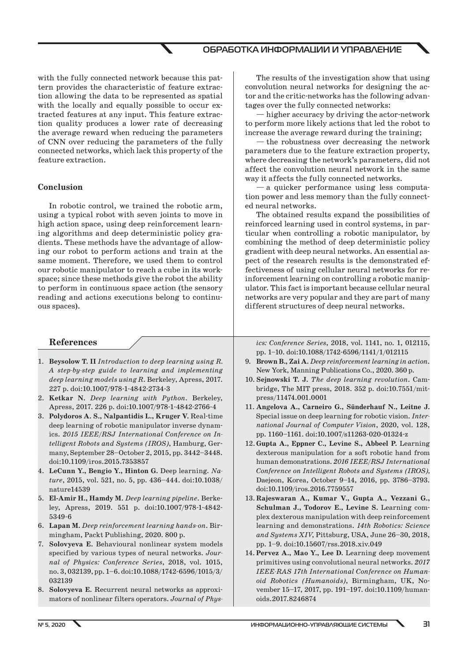with the fully connected network because this pattern provides the characteristic of feature extraction allowing the data to be represented as spatial with the locally and equally possible to occur extracted features at any input. This feature extraction quality produces a lower rate of decreasing the average reward when reducing the parameters of CNN over reducing the parameters of the fully connected networks, which lack this property of the feature extraction.

#### **Conclusion**

In robotic control, we trained the robotic arm, using a typical robot with seven joints to move in high action space, using deep reinforcement learning algorithms and deep deterministic policy gradients. These methods have the advantage of allowing our robot to perform actions and train at the same moment. Therefore, we used them to control our robotic manipulator to reach a cube in its workspace; since these methods give the robot the ability to perform in continuous space action (the sensory reading and actions executions belong to continuous spaces).

## **References**

- 1. **Beysolow T. II** *Introduction to deep learning using R. A step-by-step guide to learning and implementing deep learning models using R*. Berkeley, Apress, 2017. 227 p. doi:10.1007/978-1-4842-2734-3
- 2. **Ketkar N.** *Deep learning with Python*. Berkeley, Apress, 2017. 226 p. doi:10.1007/978-1-4842-2766-4
- 3. **Polydoros A. S., Nalpantidis L., Kruger V.** Real-time deep learning of robotic manipulator inverse dynamics. *2015 IEEE/RSJ International Conference on Intelligent Robots and Systems (IROS)*, Hamburg, Germany, September 28–October 2, 2015, pp. 3442–3448. doi:10.1109/iros.2015.7353857
- 4. **LeCunn Y., Bengio Y., Hinton G.** Deep learning. *Nature*, 2015, vol. 521, no. 5, pp. 436–444. doi:10.1038/ nature14539
- 5. **El-Amir H., Hamdy M.** *Deep learning pipeline*. Berkeley, Apress, 2019. 551 p. doi:10.1007/978-1-4842- 5349-6
- 6. **Lapan M.** *Deep reinforcement learning hands-on*. Birmingham, Packt Publishing, 2020. 800 p.
- 7. **Solovyeva E.** Behavioural nonlinear system models specified by various types of neural networks. *Journal of Physics: Conference Series*, 2018, vol. 1015, no. 3, 032139, pp. 1–6. doi:10.1088/1742-6596/1015/3/ 032139
- 8. **Solovyeva E.** Recurrent neural networks as approximators of nonlinear filters operators. *Journal of Phys-*

The results of the investigation show that using convolution neural networks for designing the actor and the critic-networks has the following advantages over the fully connected networks:

— higher accuracy by driving the actor-network to perform more likely actions that led the robot to increase the average reward during the training;

— the robustness over decreasing the network parameters due to the feature extraction property, where decreasing the network's parameters, did not affect the convolution neural network in the same way it affects the fully connected networks.

— a quicker performance using less computation power and less memory than the fully connected neural networks.

The obtained results expand the possibilities of reinforced learning used in control systems, in particular when controlling a robotic manipulator, by combining the method of deep deterministic policy gradient with deep neural networks. An essential aspect of the research results is the demonstrated effectiveness of using cellular neural networks for reinforcement learning on controlling a robotic manipulator. This fact is important because cellular neural networks are very popular and they are part of many different structures of deep neural networks.

*ics: Conference Series*, 2018, vol. 1141, no. 1, 012115, pp. 1–10. doi:10.1088/1742-6596/1141/1/012115

- 9. **Brown B., Zai A.** *Deep reinforcement learning in action*. New York, Manning Publications Co., 2020. 360 p.
- 10. **Sejnowski T. J.** *The deep learning revolution*. Cambridge, The MIT press, 2018. 352 p. doi:10.7551/mitpress/11474.001.0001
- 11. **Angelova A., Carneiro G., Sünderhauf N., Leitne J.** Special issue on deep learning for robotic vision. *International Journal of Computer Vision*, 2020, vol. 128, pp. 1160–1161. doi:10.1007/s11263-020-01324-z
- 12. **Gupta A., Eppner C., Levine S., Abbeel P.** Learning dexterous manipulation for a soft robotic hand from human demonstrations. *2016 IEEE/RSJ International Conference on Intelligent Robots and Systems (IROS),* Daejeon, Korea, October 9–14, 2016, pp. 3786–3793. doi:10.1109/iros.2016.7759557
- 13. **Rajeswaran A., Kumar V., Gupta A., Vezzani G., Schulman J., Todorov E., Levine S.** Learning complex dexterous manipulation with deep reinforcement learning and demonstrations. *14th Robotics: Science and Systems XIV*, Pittsburg, USA, June 26–30, 2018, pp. 1–9. doi:10.15607/rss.2018.xiv.049
- 14. **Pervez A., Mao Y., Lee D.** Learning deep movement primitives using convolutional neural networks. *2017 IEEE-RAS 17th International Conference on Humanoid Robotics (Humanoids)*, Birmingham, UK, November 15–17, 2017, pp. 191–197. doi:10.1109/humanoids.2017.8246874